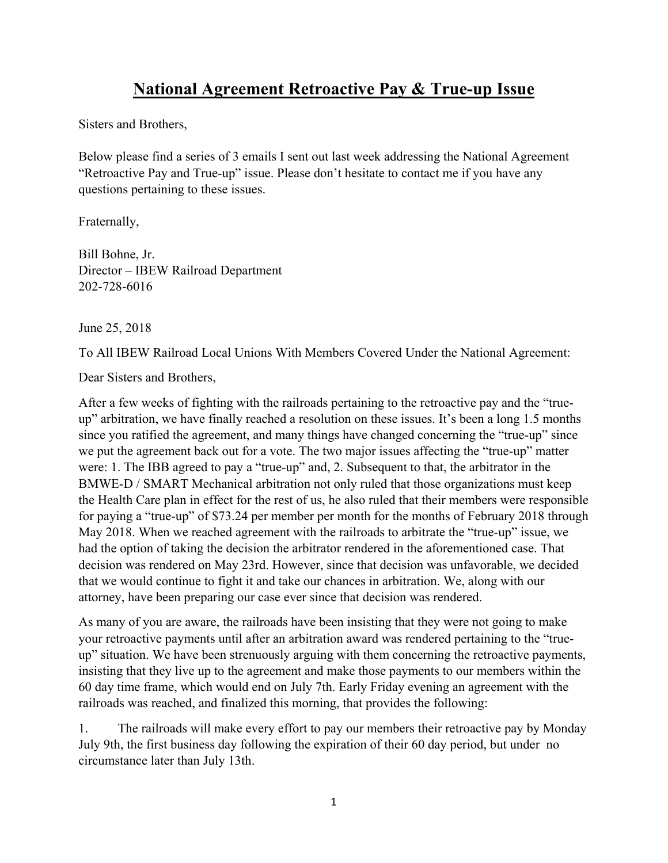## **National Agreement Retroactive Pay & True-up Issue**

Sisters and Brothers,

Below please find a series of 3 emails I sent out last week addressing the National Agreement "Retroactive Pay and True-up" issue. Please don't hesitate to contact me if you have any questions pertaining to these issues.

Fraternally,

Bill Bohne, Jr. Director – IBEW Railroad Department 202-728-6016

June 25, 2018

To All IBEW Railroad Local Unions With Members Covered Under the National Agreement:

Dear Sisters and Brothers,

After a few weeks of fighting with the railroads pertaining to the retroactive pay and the "trueup" arbitration, we have finally reached a resolution on these issues. It's been a long 1.5 months since you ratified the agreement, and many things have changed concerning the "true-up" since we put the agreement back out for a vote. The two major issues affecting the "true-up" matter were: 1. The IBB agreed to pay a "true-up" and, 2. Subsequent to that, the arbitrator in the BMWE-D / SMART Mechanical arbitration not only ruled that those organizations must keep the Health Care plan in effect for the rest of us, he also ruled that their members were responsible for paying a "true-up" of \$73.24 per member per month for the months of February 2018 through May 2018. When we reached agreement with the railroads to arbitrate the "true-up" issue, we had the option of taking the decision the arbitrator rendered in the aforementioned case. That decision was rendered on May 23rd. However, since that decision was unfavorable, we decided that we would continue to fight it and take our chances in arbitration. We, along with our attorney, have been preparing our case ever since that decision was rendered.

As many of you are aware, the railroads have been insisting that they were not going to make your retroactive payments until after an arbitration award was rendered pertaining to the "trueup" situation. We have been strenuously arguing with them concerning the retroactive payments, insisting that they live up to the agreement and make those payments to our members within the 60 day time frame, which would end on July 7th. Early Friday evening an agreement with the railroads was reached, and finalized this morning, that provides the following:

1. The railroads will make every effort to pay our members their retroactive pay by Monday July 9th, the first business day following the expiration of their 60 day period, but under no circumstance later than July 13th.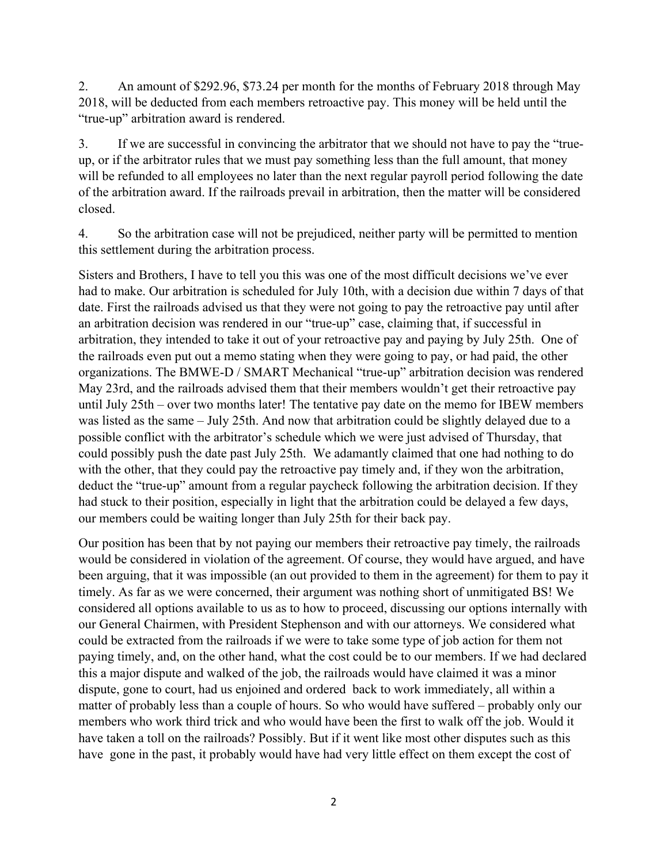2. An amount of \$292.96, \$73.24 per month for the months of February 2018 through May 2018, will be deducted from each members retroactive pay. This money will be held until the "true-up" arbitration award is rendered.

3. If we are successful in convincing the arbitrator that we should not have to pay the "trueup, or if the arbitrator rules that we must pay something less than the full amount, that money will be refunded to all employees no later than the next regular payroll period following the date of the arbitration award. If the railroads prevail in arbitration, then the matter will be considered closed.

4. So the arbitration case will not be prejudiced, neither party will be permitted to mention this settlement during the arbitration process.

Sisters and Brothers, I have to tell you this was one of the most difficult decisions we've ever had to make. Our arbitration is scheduled for July 10th, with a decision due within 7 days of that date. First the railroads advised us that they were not going to pay the retroactive pay until after an arbitration decision was rendered in our "true-up" case, claiming that, if successful in arbitration, they intended to take it out of your retroactive pay and paying by July 25th. One of the railroads even put out a memo stating when they were going to pay, or had paid, the other organizations. The BMWE-D / SMART Mechanical "true-up" arbitration decision was rendered May 23rd, and the railroads advised them that their members wouldn't get their retroactive pay until July 25th – over two months later! The tentative pay date on the memo for IBEW members was listed as the same – July 25th. And now that arbitration could be slightly delayed due to a possible conflict with the arbitrator's schedule which we were just advised of Thursday, that could possibly push the date past July 25th. We adamantly claimed that one had nothing to do with the other, that they could pay the retroactive pay timely and, if they won the arbitration, deduct the "true-up" amount from a regular paycheck following the arbitration decision. If they had stuck to their position, especially in light that the arbitration could be delayed a few days, our members could be waiting longer than July 25th for their back pay.

Our position has been that by not paying our members their retroactive pay timely, the railroads would be considered in violation of the agreement. Of course, they would have argued, and have been arguing, that it was impossible (an out provided to them in the agreement) for them to pay it timely. As far as we were concerned, their argument was nothing short of unmitigated BS! We considered all options available to us as to how to proceed, discussing our options internally with our General Chairmen, with President Stephenson and with our attorneys. We considered what could be extracted from the railroads if we were to take some type of job action for them not paying timely, and, on the other hand, what the cost could be to our members. If we had declared this a major dispute and walked of the job, the railroads would have claimed it was a minor dispute, gone to court, had us enjoined and ordered back to work immediately, all within a matter of probably less than a couple of hours. So who would have suffered – probably only our members who work third trick and who would have been the first to walk off the job. Would it have taken a toll on the railroads? Possibly. But if it went like most other disputes such as this have gone in the past, it probably would have had very little effect on them except the cost of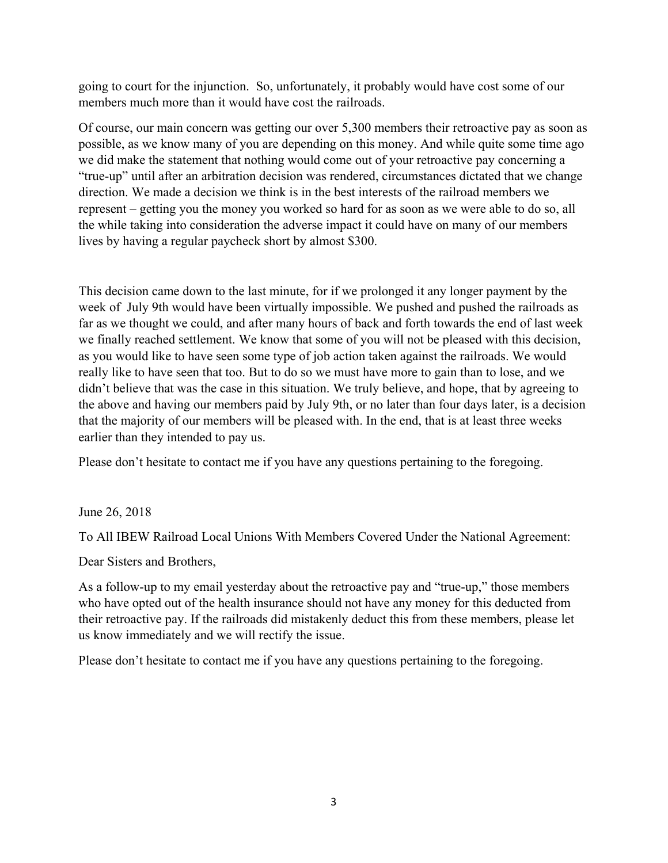going to court for the injunction. So, unfortunately, it probably would have cost some of our members much more than it would have cost the railroads.

Of course, our main concern was getting our over 5,300 members their retroactive pay as soon as possible, as we know many of you are depending on this money. And while quite some time ago we did make the statement that nothing would come out of your retroactive pay concerning a "true-up" until after an arbitration decision was rendered, circumstances dictated that we change direction. We made a decision we think is in the best interests of the railroad members we represent – getting you the money you worked so hard for as soon as we were able to do so, all the while taking into consideration the adverse impact it could have on many of our members lives by having a regular paycheck short by almost \$300.

This decision came down to the last minute, for if we prolonged it any longer payment by the week of July 9th would have been virtually impossible. We pushed and pushed the railroads as far as we thought we could, and after many hours of back and forth towards the end of last week we finally reached settlement. We know that some of you will not be pleased with this decision, as you would like to have seen some type of job action taken against the railroads. We would really like to have seen that too. But to do so we must have more to gain than to lose, and we didn't believe that was the case in this situation. We truly believe, and hope, that by agreeing to the above and having our members paid by July 9th, or no later than four days later, is a decision that the majority of our members will be pleased with. In the end, that is at least three weeks earlier than they intended to pay us.

Please don't hesitate to contact me if you have any questions pertaining to the foregoing.

June 26, 2018

To All IBEW Railroad Local Unions With Members Covered Under the National Agreement:

Dear Sisters and Brothers,

As a follow-up to my email yesterday about the retroactive pay and "true-up," those members who have opted out of the health insurance should not have any money for this deducted from their retroactive pay. If the railroads did mistakenly deduct this from these members, please let us know immediately and we will rectify the issue.

Please don't hesitate to contact me if you have any questions pertaining to the foregoing.